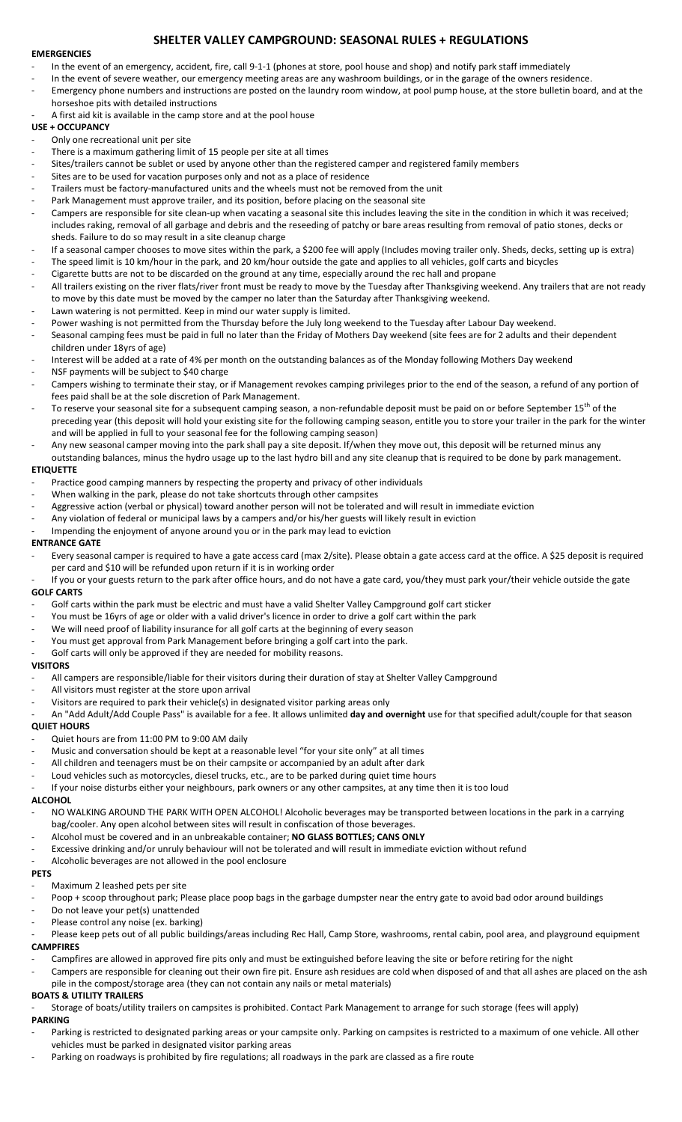# **SHELTER VALLEY CAMPGROUND: SEASONAL RULES + REGULATIONS**

## **EMERGENCIES**

- In the event of an emergency, accident, fire, call 9-1-1 (phones at store, pool house and shop) and notify park staff immediately
- In the event of severe weather, our emergency meeting areas are any washroom buildings, or in the garage of the owners residence.
- Emergency phone numbers and instructions are posted on the laundry room window, at pool pump house, at the store bulletin board, and at the horseshoe pits with detailed instructions
- A first aid kit is available in the camp store and at the pool house

# **USE + OCCUPANCY**

- Only one recreational unit per site
- There is a maximum gathering limit of 15 people per site at all times
- Sites/trailers cannot be sublet or used by anyone other than the registered camper and registered family members
- Sites are to be used for vacation purposes only and not as a place of residence
- Trailers must be factory-manufactured units and the wheels must not be removed from the unit
- Park Management must approve trailer, and its position, before placing on the seasonal site
- Campers are responsible for site clean-up when vacating a seasonal site this includes leaving the site in the condition in which it was received; includes raking, removal of all garbage and debris and the reseeding of patchy or bare areas resulting from removal of patio stones, decks or sheds. Failure to do so may result in a site cleanup charge
- If a seasonal camper chooses to move sites within the park, a \$200 fee will apply (Includes moving trailer only. Sheds, decks, setting up is extra)
- The speed limit is 10 km/hour in the park, and 20 km/hour outside the gate and applies to all vehicles, golf carts and bicycles
- Cigarette butts are not to be discarded on the ground at any time, especially around the rec hall and propane
- All trailers existing on the river flats/river front must be ready to move by the Tuesday after Thanksgiving weekend. Any trailers that are not ready to move by this date must be moved by the camper no later than the Saturday after Thanksgiving weekend.
- Lawn watering is not permitted. Keep in mind our water supply is limited.
- Power washing is not permitted from the Thursday before the July long weekend to the Tuesday after Labour Day weekend.
- Seasonal camping fees must be paid in full no later than the Friday of Mothers Day weekend (site fees are for 2 adults and their dependent children under 18yrs of age)
- Interest will be added at a rate of 4% per month on the outstanding balances as of the Monday following Mothers Day weekend
- NSF payments will be subject to \$40 charge
- Campers wishing to terminate their stay, or if Management revokes camping privileges prior to the end of the season, a refund of any portion of fees paid shall be at the sole discretion of Park Management.
- To reserve your seasonal site for a subsequent camping season, a non-refundable deposit must be paid on or before September 15<sup>th</sup> of the preceding year (this deposit will hold your existing site for the following camping season, entitle you to store your trailer in the park for the winter and will be applied in full to your seasonal fee for the following camping season)
- Any new seasonal camper moving into the park shall pay a site deposit. If/when they move out, this deposit will be returned minus any outstanding balances, minus the hydro usage up to the last hydro bill and any site cleanup that is required to be done by park management. **ETIQUETTE**

- Practice good camping manners by respecting the property and privacy of other individuals
- When walking in the park, please do not take shortcuts through other campsites
- Aggressive action (verbal or physical) toward another person will not be tolerated and will result in immediate eviction
- Any violation of federal or municipal laws by a campers and/or his/her guests will likely result in eviction
- Impending the enjoyment of anyone around you or in the park may lead to eviction

## **ENTRANCE GATE**

- Every seasonal camper is required to have a gate access card (max 2/site). Please obtain a gate access card at the office. A \$25 deposit is required per card and \$10 will be refunded upon return if it is in working order
- If you or your guests return to the park after office hours, and do not have a gate card, you/they must park your/their vehicle outside the gate **GOLF CARTS**
- Golf carts within the park must be electric and must have a valid Shelter Valley Campground golf cart sticker
- You must be 16yrs of age or older with a valid driver's licence in order to drive a golf cart within the park
- We will need proof of liability insurance for all golf carts at the beginning of every season
- You must get approval from Park Management before bringing a golf cart into the park.
- Golf carts will only be approved if they are needed for mobility reasons.

#### **VISITORS**

- All campers are responsible/liable for their visitors during their duration of stay at Shelter Valley Campground
- All visitors must register at the store upon arrival
- Visitors are required to park their vehicle(s) in designated visitor parking areas only
- An "Add Adult/Add Couple Pass" is available for a fee. It allows unlimited **day and overnight** use for that specified adult/couple for that season

## **QUIET HOURS**

- Quiet hours are from 11:00 PM to 9:00 AM daily
- Music and conversation should be kept at a reasonable level "for your site only" at all times
- All children and teenagers must be on their campsite or accompanied by an adult after dark
- Loud vehicles such as motorcycles, diesel trucks, etc., are to be parked during quiet time hours
- If your noise disturbs either your neighbours, park owners or any other campsites, at any time then it is too loud

#### **ALCOHOL**

- NO WALKING AROUND THE PARK WITH OPEN ALCOHOL! Alcoholic beverages may be transported between locations in the park in a carrying bag/cooler. Any open alcohol between sites will result in confiscation of those beverages.
- Alcohol must be covered and in an unbreakable container; **NO GLASS BOTTLES; CANS ONLY**
- Excessive drinking and/or unruly behaviour will not be tolerated and will result in immediate eviction without refund
- Alcoholic beverages are not allowed in the pool enclosure

#### **PETS**

- Maximum 2 leashed pets per site
- Poop + scoop throughout park; Please place poop bags in the garbage dumpster near the entry gate to avoid bad odor around buildings
- Do not leave your pet(s) unattended
- Please control any noise (ex. barking)
- Please keep pets out of all public buildings/areas including Rec Hall, Camp Store, washrooms, rental cabin, pool area, and playground equipment **CAMPFIRES**
- Campfires are allowed in approved fire pits only and must be extinguished before leaving the site or before retiring for the night
- Campers are responsible for cleaning out their own fire pit. Ensure ash residues are cold when disposed of and that all ashes are placed on the ash pile in the compost/storage area (they can not contain any nails or metal materials)

# **BOATS & UTILITY TRAILERS**

- Storage of boats/utility trailers on campsites is prohibited. Contact Park Management to arrange for such storage (fees will apply)

# **PARKING**

- Parking is restricted to designated parking areas or your campsite only. Parking on campsites is restricted to a maximum of one vehicle. All other vehicles must be parked in designated visitor parking areas
- Parking on roadways is prohibited by fire regulations; all roadways in the park are classed as a fire route